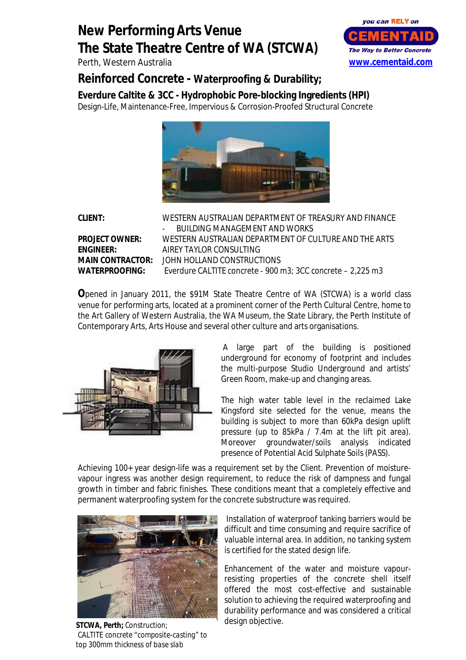## **New Performing Arts Venue The State Theatre Centre of WA (STCWA)**

Perth, Western Australia



**Reinforced Concrete - Waterproofing & Durability;**

**Everdure Caltite & 3CC - Hydrophobic Pore-blocking Ingredients (HPI)** Design-Life, Maintenance-Free, Impervious & Corrosion-Proofed Structural Concrete



**CLIENT:** WESTERN AUSTRALIAN DEPARTMENT OF TREASURY AND FINANCE BUILDING MANAGEMENT AND WORKS **PROJECT OWNER:** WESTERN AUSTRALIAN DEPARTMENT OF CULTURE AND THE ARTS **ENGINEER:** AIREY TAYLOR CONSULTING **MAIN CONTRACTOR:** JOHN HOLLAND CONSTRUCTIONS **WATERPROOFING:** Everdure CALTITE concrete - 900 m3; 3CC concrete – 2,225 m3

**O**pened in January 2011, the \$91M State Theatre Centre of WA (STCWA) is a world class venue for performing arts, located at a prominent corner of the Perth Cultural Centre, home to the Art Gallery of Western Australia, the WA Museum, the State Library, the Perth Institute of Contemporary Arts, Arts House and several other culture and arts organisations.



A large part of the building is positioned underground for economy of footprint and includes the multi-purpose Studio Underground and artists' Green Room, make-up and changing areas.

The high water table level in the reclaimed Lake Kingsford site selected for the venue, means the building is subject to more than 60kPa design uplift pressure (up to 85kPa / 7.4m at the lift pit area). Moreover groundwater/soils analysis indicated presence of Potential Acid Sulphate Soils (PASS).

Achieving 100+ year design-life was a requirement set by the Client. Prevention of moisturevapour ingress was another design requirement, to reduce the risk of dampness and fungal growth in timber and fabric finishes. These conditions meant that a completely effective and permanent waterproofing system for the concrete substructure was required.



**STCWA, Perth;** *Construction; CALTITE concrete "composite-casting" to top 300mm thickness of base slab*

Installation of waterproof tanking barriers would be difficult and time consuming and require sacrifice of valuable internal area. In addition, no tanking system is certified for the stated design life.

Enhancement of the water and moisture vapourresisting properties of the concrete shell itself offered the most cost-effective and sustainable solution to achieving the required waterproofing and durability performance and was considered a critical design objective.